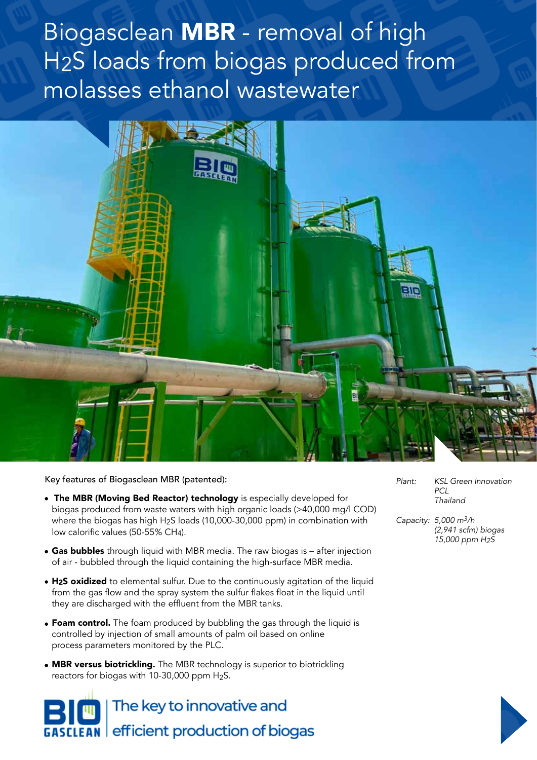Biogasclean MBR - removal of high H2S loads from biogas produced from molasses ethanol wastewater



Key features of Biogasclean MBR (patented):

- The MBR (Moving Bed Reactor) technology is especially developed for biogas produced from waste waters with high organic loads (>40,000 mg/l COD) where the biogas has high H2S loads (10,000-30,000 ppm) in combination with low calorific values (50-55% CH4).
- Gas bubbles through liquid with MBR media. The raw biogas is after injection of air - bubbled through the liquid containing the high-surface MBR media.
- H2S oxidized to elemental sulfur. Due to the continuously agitation of the liquid from the gas flow and the spray system the sulfur flakes float in the liquid until they are discharged with the effluent from the MBR tanks.
- **Foam control.** The foam produced by bubbling the gas through the liquid is controlled by injection of small amounts of palm oil based on online process parameters monitored by the PLC.
- MBR versus biotrickling. The MBR technology is superior to biotrickling reactors for biogas with 10-30,000 ppm  $H_2S$ .

The key to innovative and **EAN** efficient production of biogas *Plant: KSL Green Innovation PCL Thailand*

*Capacity: 5,000 m3/h (2,941 scfm) biogas 15,000 ppm H2S*